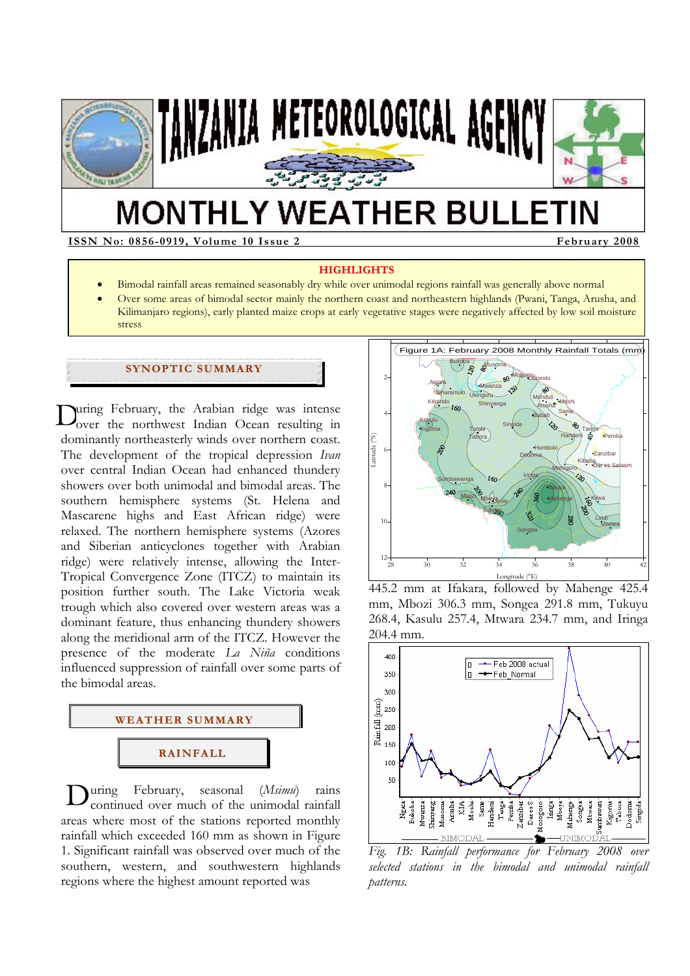

# **MONTHLY WEATHER BULLETIN**

**ISSN No: 0856-0919, Volume 10 Issue 2 February 2008** 

#### **HIGHLIGHTS**

- Bimodal rainfall areas remained seasonably dry while over unimodal regions rainfall was generally above normal
- Over some areas of bimodal sector mainly the northern coast and northeastern highlands (Pwani, Tanga, Arusha, and Kilimanjaro regions), early planted maize crops at early vegetative stages were negatively affected by low soil moisture stress

# **SYNOPTIC SUMMARY**

uring February, the Arabian ridge was intense During February, the Arabian ridge was intense<br>Over the northwest Indian Ocean resulting in dominantly northeasterly winds over northern coast. The development of the tropical depression *Ivan* over central Indian Ocean had enhanced thundery showers over both unimodal and bimodal areas. The southern hemisphere systems (St. Helena and Mascarene highs and East African ridge) were relaxed. The northern hemisphere systems (Azores and Siberian anticyclones together with Arabian ridge) were relatively intense, allowing the Inter-Tropical Convergence Zone (ITCZ) to maintain its position further south. The Lake Victoria weak trough which also covered over western areas was a dominant feature, thus enhancing thundery showers along the meridional arm of the ITCZ. However the presence of the moderate *La Niña* conditions influenced suppression of rainfall over some parts of the bimodal areas.



**D**uring February, seasonal (*Msimu*) rains<br>continued over much of the unimodal rainfall continued over much of the unimodal rainfall areas where most of the stations reported monthly rainfall which exceeded 160 mm as shown in Figure 1. Significant rainfall was observed over much of the southern, western, and southwestern highlands regions where the highest amount reported was



445.2 mm at Ifakara, followed by Mahenge 425.4 mm, Mbozi 306.3 mm, Songea 291.8 mm, Tukuyu 268.4, Kasulu 257.4, Mtwara 234.7 mm, and Iringa 204.4 mm.



*Fig. 1B: Rainfall performance for February 2008 over selected stations in the bimodal and unimodal rainfall patterns.*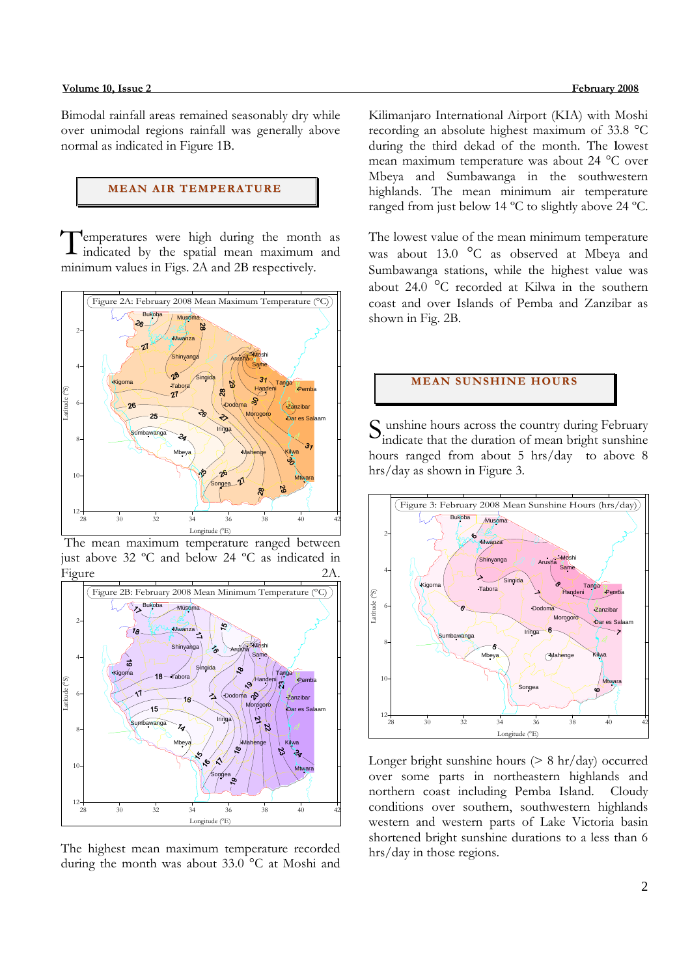#### **Volume 10, Issue 2 February 2008**

Bimodal rainfall areas remained seasonably dry while over unimodal regions rainfall was generally above normal as indicated in Figure 1B.

## **MEAN AIR TEMPERATURE**

emperatures were high during the month as Temperatures were high during the month as indicated by the spatial mean maximum and minimum values in Figs. 2A and 2B respectively.



 The mean maximum temperature ranged between just above 32 ºC and below 24 ºC as indicated in Figure 2A.



The highest mean maximum temperature recorded during the month was about 33.0 °C at Moshi and

Kilimanjaro International Airport (KIA) with Moshi recording an absolute highest maximum of 33.8 °C during the third dekad of the month. The **l**owest mean maximum temperature was about 24 °C over Mbeya and Sumbawanga in the southwestern highlands. The mean minimum air temperature ranged from just below 14 ºC to slightly above 24 ºC.

The lowest value of the mean minimum temperature was about 13.0 °C as observed at Mbeya and Sumbawanga stations, while the highest value was about 24.0 °C recorded at Kilwa in the southern coast and over Islands of Pemba and Zanzibar as shown in Fig. 2B.

# **MEAN SUNSHINE HOURS**

S unshine hours across the country during February<br>indicate that the duration of mean bright sunshine indicate that the duration of mean bright sunshine hours ranged from about 5 hrs/day to above 8 hrs/day as shown in Figure 3.



Longer bright sunshine hours  $(> 8 \text{ hr/day})$  occurred over some parts in northeastern highlands and northern coast including Pemba Island. Cloudy conditions over southern, southwestern highlands western and western parts of Lake Victoria basin shortened bright sunshine durations to a less than 6 hrs/day in those regions.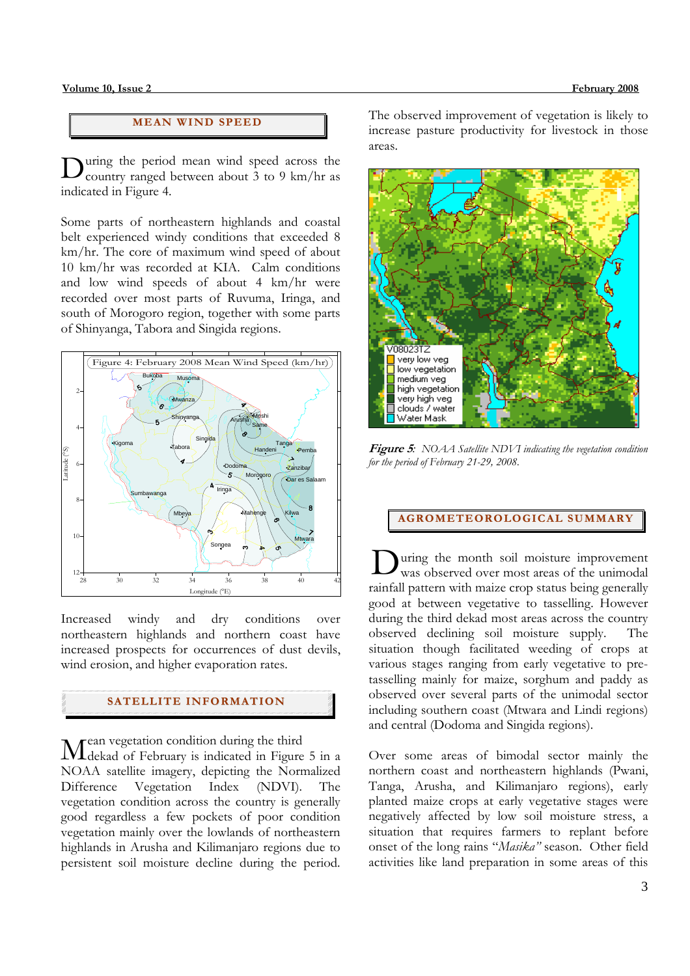### **MEAN WI ND SPEED**

uring the period mean wind speed across the During the period mean wind speed across the country ranged between about 3 to 9 km/hr as indicated in Figure 4.

Some parts of northeastern highlands and coastal belt experienced windy conditions that exceeded 8 km/hr. The core of maximum wind speed of about 10 km/hr was recorded at KIA. Calm conditions and low wind speeds of about 4 km/hr were recorded over most parts of Ruvuma, Iringa, and south of Morogoro region, together with some parts of Shinyanga, Tabora and Singida regions.



Increased windy and dry conditions over northeastern highlands and northern coast have increased prospects for occurrences of dust devils, wind erosion, and higher evaporation rates.

# **SATELLITE I NFORMATION**

rean vegetation condition during the third Mean vegetation condition during the third<br>Melekad of February is indicated in Figure 5 in a NOAA satellite imagery, depicting the Normalized Difference Vegetation Index (NDVI). The vegetation condition across the country is generally good regardless a few pockets of poor condition vegetation mainly over the lowlands of northeastern highlands in Arusha and Kilimanjaro regions due to persistent soil moisture decline during the period.

The observed improvement of vegetation is likely to increase pasture productivity for livestock in those areas.



**Figure 5***: NOAA Satellite NDVI indicating the vegetation condition for the period of February 21-29, 2008.* 

**AGROMETEOROLOGICAL SUMMARY**

uring the month soil moisture improvement was observed over most areas of the unimodal rainfall pattern with maize crop status being generally good at between vegetative to tasselling. However during the third dekad most areas across the country observed declining soil moisture supply. The situation though facilitated weeding of crops at various stages ranging from early vegetative to pretasselling mainly for maize, sorghum and paddy as observed over several parts of the unimodal sector including southern coast (Mtwara and Lindi regions) and central (Dodoma and Singida regions). D

Over some areas of bimodal sector mainly the northern coast and northeastern highlands (Pwani, Tanga, Arusha, and Kilimanjaro regions), early planted maize crops at early vegetative stages were negatively affected by low soil moisture stress, a situation that requires farmers to replant before onset of the long rains "*Masika"* season. Other field activities like land preparation in some areas of this